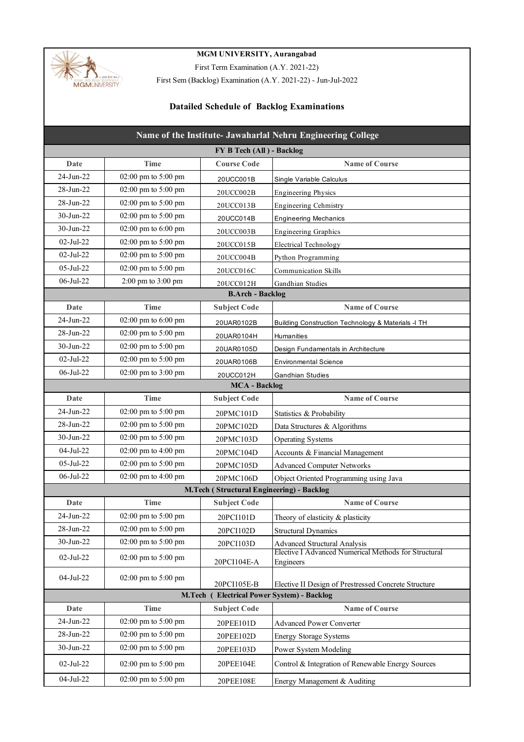

## **MGM UNIVERSITY, Aurangabad**

First Term Examination (A.Y. 2021-22)

First Sem (Backlog) Examination (A.Y. 2021-22) - Jun-Jul-2022

## **Datailed Schedule of Backlog Examinations**

| Name of the Institute- Jawaharlal Nehru Engineering College |                                         |                                           |                                                                   |  |
|-------------------------------------------------------------|-----------------------------------------|-------------------------------------------|-------------------------------------------------------------------|--|
|                                                             |                                         | FY B Tech (All) - Backlog                 |                                                                   |  |
| Date                                                        | Time                                    | <b>Course Code</b>                        | <b>Name of Course</b>                                             |  |
| 24-Jun-22                                                   | 02:00 pm to 5:00 pm                     | 20UCC001B                                 | Single Variable Calculus                                          |  |
| $28 - Jun - 22$                                             | 02:00 pm to 5:00 pm                     | 20UCC002B                                 | <b>Engineering Physics</b>                                        |  |
| 28-Jun-22                                                   | 02:00 pm to 5:00 pm                     | 20UCC013B                                 | Engineering Cehmistry                                             |  |
| $30-Jun-22$                                                 | 02:00 pm to 5:00 pm                     | 20UCC014B                                 | <b>Engineering Mechanics</b>                                      |  |
| $30 - Jun-22$                                               | 02:00 pm to 6:00 pm                     | 20UCC003B                                 | <b>Engineering Graphics</b>                                       |  |
| $02$ -Jul-22                                                | 02:00 pm to 5:00 pm                     | 20UCC015B                                 | <b>Electrical Technology</b>                                      |  |
| $02-Jul-22$                                                 | 02:00 pm to 5:00 pm                     | 20UCC004B                                 | Python Programming                                                |  |
| 05-Jul-22                                                   | 02:00 pm to 5:00 pm                     | 20UCC016C                                 | <b>Communication Skills</b>                                       |  |
| 06-Jul-22                                                   | 2:00 pm to 3:00 pm                      | 20UCC012H                                 | Gandhian Studies                                                  |  |
|                                                             |                                         | <b>B.Arch - Backlog</b>                   |                                                                   |  |
| Date                                                        | Time                                    | <b>Subject Code</b>                       | <b>Name of Course</b>                                             |  |
| $24$ -Jun- $22$                                             | 02:00 pm to 6:00 pm                     | 20UAR0102B                                | Building Construction Technology & Materials -I TH                |  |
| 28-Jun-22                                                   | 02:00 pm to 5:00 pm                     | 20UAR0104H                                | Humanities                                                        |  |
| $30-Jun-22$                                                 | 02:00 pm to 5:00 pm                     | 20UAR0105D                                | Design Fundamentals in Architecture                               |  |
| $02-Jul-22$                                                 | 02:00 pm to 5:00 pm                     | 20UAR0106B                                | <b>Environmental Science</b>                                      |  |
| 06-Jul-22                                                   | 02:00 pm to 3:00 pm                     | 20UCC012H                                 | <b>Gandhian Studies</b>                                           |  |
|                                                             |                                         | <b>MCA</b> - Backlog                      |                                                                   |  |
| Date                                                        | <b>Time</b>                             | <b>Subject Code</b>                       | <b>Name of Course</b>                                             |  |
| $24$ -Jun-22                                                | 02:00 pm to 5:00 pm                     | 20PMC101D                                 | Statistics & Probability                                          |  |
| 28-Jun-22                                                   | 02:00 pm to 5:00 pm                     | 20PMC102D                                 | Data Structures & Algorithms                                      |  |
| $30-Jun-22$                                                 | 02:00 pm to 5:00 pm                     | 20PMC103D                                 | <b>Operating Systems</b>                                          |  |
| 04-Jul-22                                                   | 02:00 pm to 4:00 pm                     | 20PMC104D                                 | Accounts & Financial Management                                   |  |
| 05-Jul-22                                                   | 02:00 pm to 5:00 pm                     | 20PMC105D                                 | <b>Advanced Computer Networks</b>                                 |  |
| 06-Jul-22                                                   | 02:00 pm to 4:00 pm                     | 20PMC106D                                 | Object Oriented Programming using Java                            |  |
|                                                             |                                         | M.Tech (Structural Engineering) - Backlog |                                                                   |  |
| Date                                                        | <b>Time</b>                             | <b>Subject Code</b>                       | <b>Name of Course</b>                                             |  |
| 24-Jun-22                                                   | 02:00 pm to 5:00 pm                     | 20PCI101D                                 | Theory of elasticity & plasticity                                 |  |
| 28-Jun-22                                                   | 02:00 pm to 5:00 pm                     | 20PCI102D                                 | <b>Structural Dynamics</b>                                        |  |
| 30-Jun-22                                                   | 02:00 pm to 5:00 pm                     | 20PCI103D                                 | <b>Advanced Structural Analysis</b>                               |  |
| $02-Jul-22$                                                 | $02:00 \text{ pm}$ to $5:00 \text{ pm}$ | 20PCI104E-A                               | Elective I Advanced Numerical Methods for Structural<br>Engineers |  |
| 04-Jul-22                                                   | 02:00 pm to 5:00 pm                     | 20PCI105E-B                               | Elective II Design of Prestressed Concrete Structure              |  |
|                                                             | M.Tech (                                |                                           | <b>Electrical Power System) - Backlog</b>                         |  |
| Date                                                        | <b>Time</b>                             | <b>Subject Code</b>                       | <b>Name of Course</b>                                             |  |
| 24-Jun-22                                                   | 02:00 pm to 5:00 pm                     | 20PEE101D                                 | <b>Advanced Power Converter</b>                                   |  |
| 28-Jun-22                                                   | 02:00 pm to 5:00 pm                     | 20PEE102D                                 | <b>Energy Storage Systems</b>                                     |  |
| $30-Jun-22$                                                 | 02:00 pm to 5:00 pm                     | 20PEE103D                                 | Power System Modeling                                             |  |
| 02-Jul-22                                                   | 02:00 pm to 5:00 pm                     | 20PEE104E                                 | Control & Integration of Renewable Energy Sources                 |  |
| 04-Jul-22                                                   | 02:00 pm to 5:00 pm                     | 20PEE108E                                 | Energy Management & Auditing                                      |  |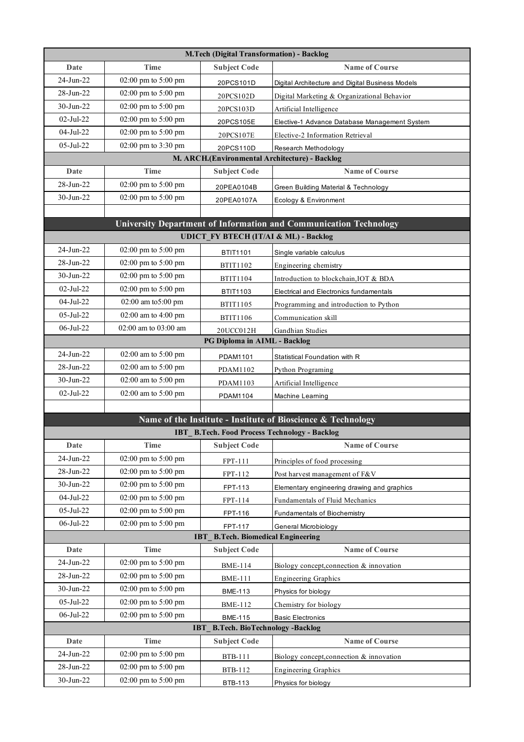| <b>M.Tech (Digital Transformation) - Backlog</b> |                                                |                                                  |                                                                   |
|--------------------------------------------------|------------------------------------------------|--------------------------------------------------|-------------------------------------------------------------------|
| Date                                             | Time                                           | <b>Subject Code</b>                              | <b>Name of Course</b>                                             |
| 24-Jun-22                                        | 02:00 pm to 5:00 pm                            | 20PCS101D                                        | Digital Architecture and Digital Business Models                  |
| 28-Jun-22                                        | 02:00 pm to 5:00 pm                            | 20PCS102D                                        | Digital Marketing & Organizational Behavior                       |
| 30-Jun-22                                        | 02:00 pm to 5:00 pm                            | 20PCS103D                                        | Artificial Intelligence                                           |
| 02-Jul-22                                        | 02:00 pm to 5:00 pm                            | 20PCS105E                                        | Elective-1 Advance Database Management System                     |
| 04-Jul-22                                        | 02:00 pm to 5:00 pm                            | 20PCS107E                                        | Elective-2 Information Retrieval                                  |
| $05$ -Jul-22                                     | 02:00 pm to 3:30 pm                            | 20PCS110D                                        | Research Methodology                                              |
|                                                  |                                                |                                                  | M. ARCH.(Environmental Architecture) - Backlog                    |
| Date                                             | Time                                           | <b>Subject Code</b>                              | <b>Name of Course</b>                                             |
| 28-Jun-22                                        | 02:00 pm to 5:00 pm                            | 20PEA0104B                                       | Green Building Material & Technology                              |
| 30-Jun-22                                        | 02:00 pm to 5:00 pm                            | 20PEA0107A                                       | Ecology & Environment                                             |
|                                                  |                                                |                                                  |                                                                   |
|                                                  |                                                |                                                  | University Department of Information and Communication Technology |
|                                                  |                                                | <b>UDICT_FY BTECH (IT/AI &amp; ML) - Backlog</b> |                                                                   |
| 24-Jun-22                                        | 02:00 pm to 5:00 pm                            | <b>BTIT1101</b>                                  | Single variable calculus                                          |
| 28-Jun-22                                        | $02:00 \text{ pm}$ to $5:00 \text{ pm}$        | BTIT1102                                         | Engineering chemistry                                             |
| $30-Jun-22$                                      | 02:00 pm to 5:00 pm                            | BTIT1104                                         | Introduction to blockchain, IOT & BDA                             |
| 02-Jul-22                                        | 02:00 pm to 5:00 pm                            | <b>BTIT1103</b>                                  | <b>Electrical and Electronics fundamentals</b>                    |
| 04-Jul-22                                        | 02:00 am to 5:00 pm                            | <b>BTIT1105</b>                                  | Programming and introduction to Python                            |
| 05-Jul-22                                        | 02:00 am to 4:00 pm                            | <b>BTIT1106</b>                                  | Communication skill                                               |
| 06-Jul-22                                        | 02:00 am to 03:00 am                           | 20UCC012H                                        | Gandhian Studies                                                  |
| 24-Jun-22                                        |                                                | PG Diploma in AIML - Backlog                     |                                                                   |
| 28-Jun-22                                        | $02:00$ am to $5:00$ pm<br>02:00 am to 5:00 pm | PDAM1101                                         | Statistical Foundation with R                                     |
| $30-Jun-22$                                      | 02:00 am to 5:00 pm                            | PDAM1102                                         | Python Programing                                                 |
| 02-Jul-22                                        | 02:00 am to 5:00 pm                            | PDAM1103                                         | Artificial Intelligence                                           |
|                                                  |                                                | PDAM1104                                         | Machine Leaming                                                   |
|                                                  |                                                |                                                  | Name of the Institute - Institute of Bioscience & Technology      |
|                                                  |                                                |                                                  | IBT_B.Tech. Food Process Technology - Backlog                     |
| Date                                             | <b>Time</b>                                    | <b>Subject Code</b>                              | <b>Name of Course</b>                                             |
| 24-Jun-22                                        | 02:00 pm to 5:00 pm                            | FPT-111                                          | Principles of food processing                                     |
| 28-Jun-22                                        | 02:00 pm to 5:00 pm                            | FPT-112                                          | Post harvest management of F&V                                    |
| 30-Jun-22                                        | 02:00 pm to 5:00 pm                            | FPT-113                                          | Elementary engineering drawing and graphics                       |
| 04-Jul-22                                        | 02:00 pm to 5:00 pm                            | FPT-114                                          | Fundamentals of Fluid Mechanics                                   |
| 05-Jul-22                                        | 02:00 pm to 5:00 pm                            | FPT-116                                          | Fundamentals of Biochemistry                                      |
| 06-Jul-22                                        | 02:00 pm to 5:00 pm                            | FPT-117                                          | General Microbiology                                              |
|                                                  |                                                | IBT_B.Tech. Biomedical Engineering               |                                                                   |
| Date                                             | Time                                           | <b>Subject Code</b>                              | <b>Name of Course</b>                                             |
| 24-Jun-22                                        | 02:00 pm to 5:00 pm                            | <b>BME-114</b>                                   | Biology concept, connection & innovation                          |
| 28-Jun-22                                        | 02:00 pm to 5:00 pm                            | <b>BME-111</b>                                   | <b>Engineering Graphics</b>                                       |
| 30-Jun-22                                        | 02:00 pm to 5:00 pm                            | <b>BME-113</b>                                   | Physics for biology                                               |
| 05-Jul-22                                        | 02:00 pm to 5:00 pm                            | <b>BME-112</b>                                   | Chemistry for biology                                             |
| 06-Jul-22                                        | 02:00 pm to 5:00 pm                            | <b>BME-115</b>                                   | <b>Basic Electronics</b>                                          |
|                                                  |                                                | IBT_B.Tech. BioTechnology -Backlog               |                                                                   |
| Date                                             | <b>Time</b>                                    | <b>Subject Code</b>                              | <b>Name of Course</b>                                             |
| 24-Jun-22                                        | 02:00 pm to 5:00 pm                            | <b>BTB-111</b>                                   | Biology concept, connection & innovation                          |
| 28-Jun-22                                        | 02:00 pm to 5:00 pm                            | BTB-112                                          | <b>Engineering Graphics</b>                                       |
| 30-Jun-22                                        | 02:00 pm to 5:00 pm                            | <b>BTB-113</b>                                   | Physics for biology                                               |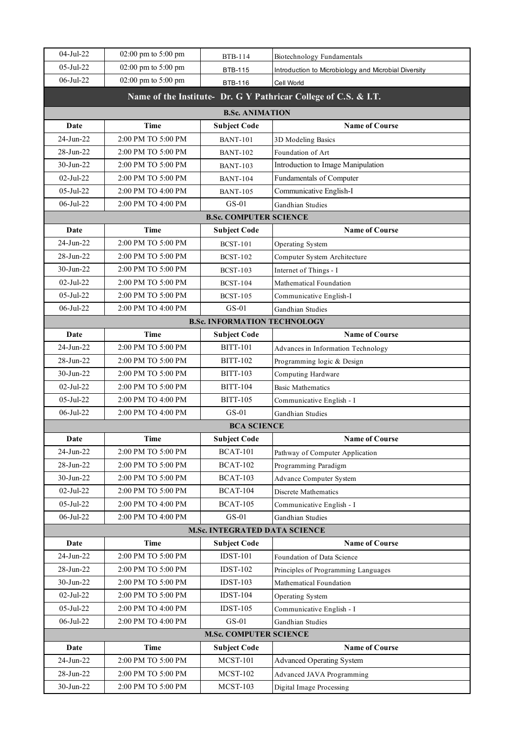| $04-Jul-22$              | 02:00 pm to 5:00 pm        | <b>BTB-114</b>                         | Biotechnology Fundamentals                                      |
|--------------------------|----------------------------|----------------------------------------|-----------------------------------------------------------------|
| 05-Jul-22                | 02:00 pm to 5:00 pm        | <b>BTB-115</b>                         | Introduction to Microbiology and Microbial Diversity            |
| 06-Jul-22                | 02:00 pm to 5:00 pm        | <b>BTB-116</b>                         | Cell World                                                      |
|                          |                            |                                        | Name of the Institute- Dr. G Y Pathricar College of C.S. & I.T. |
|                          |                            | <b>B.Sc. ANIMATION</b>                 |                                                                 |
| Date                     | <b>Time</b>                | <b>Subject Code</b>                    | <b>Name of Course</b>                                           |
| 24-Jun-22                | 2:00 PM TO 5:00 PM         | <b>BANT-101</b>                        | 3D Modeling Basics                                              |
| 28-Jun-22                | 2:00 PM TO 5:00 PM         | <b>BANT-102</b>                        | Foundation of Art                                               |
| $30-Jun-22$              | 2:00 PM TO 5:00 PM         | <b>BANT-103</b>                        | Introduction to Image Manipulation                              |
| $02$ -Jul-22             | 2:00 PM TO 5:00 PM         | <b>BANT-104</b>                        | Fundamentals of Computer                                        |
| $05$ -Jul-22             | 2:00 PM TO 4:00 PM         | <b>BANT-105</b>                        | Communicative English-I                                         |
| $06$ -Jul-22             | 2:00 PM TO 4:00 PM         | $GS-01$                                | Gandhian Studies                                                |
|                          |                            | <b>B.Sc. COMPUTER SCIENCE</b>          |                                                                 |
| Date                     | Time                       | <b>Subject Code</b>                    | <b>Name of Course</b>                                           |
| 24-Jun-22                | 2:00 PM TO 5:00 PM         | <b>BCST-101</b>                        | Operating System                                                |
| 28-Jun-22                | 2:00 PM TO 5:00 PM         | <b>BCST-102</b>                        | Computer System Architecture                                    |
| 30-Jun-22                | 2:00 PM TO 5:00 PM         | <b>BCST-103</b>                        | Internet of Things - I                                          |
| $02-Jul-22$              | 2:00 PM TO 5:00 PM         | <b>BCST-104</b>                        | Mathematical Foundation                                         |
| $05$ -Jul-22             | 2:00 PM TO 5:00 PM         | <b>BCST-105</b>                        | Communicative English-I                                         |
| $06$ -Jul-22             | 2:00 PM TO 4:00 PM         | $GS-01$                                | Gandhian Studies                                                |
|                          |                            | <b>B.Sc. INFORMATION TECHNOLOGY</b>    |                                                                 |
| Date                     | <b>Time</b>                | <b>Subject Code</b>                    | <b>Name of Course</b>                                           |
| 24-Jun-22                | 2:00 PM TO 5:00 PM         | <b>BITT-101</b>                        | Advances in Information Technology                              |
| 28-Jun-22                | 2:00 PM TO 5:00 PM         | <b>BITT-102</b>                        | Programming logic & Design                                      |
| 30-Jun-22                | 2:00 PM TO 5:00 PM         | <b>BITT-103</b>                        | Computing Hardware                                              |
| $02-Jul-22$              | 2:00 PM TO 5:00 PM         | <b>BITT-104</b>                        | <b>Basic Mathematics</b>                                        |
| $05$ -Jul-22             | 2:00 PM TO 4:00 PM         | <b>BITT-105</b>                        | Communicative English - I                                       |
| 06-Jul-22                | 2:00 PM TO 4:00 PM         | $GS-01$                                | Gandhian Studies                                                |
|                          |                            | <b>BCA SCIENCE</b>                     |                                                                 |
| <b>Date</b><br>24-Jun-22 | Time<br>2:00 PM TO 5:00 PM | <b>Subject Code</b><br><b>BCAT-101</b> | <b>Name of Course</b>                                           |
| 28-Jun-22                | 2:00 PM TO 5:00 PM         | <b>BCAT-102</b>                        | Pathway of Computer Application<br>Programming Paradigm         |
| 30-Jun-22                | 2:00 PM TO 5:00 PM         | <b>BCAT-103</b>                        |                                                                 |
| $02$ -Jul-22             | 2:00 PM TO 5:00 PM         | <b>BCAT-104</b>                        | Advance Computer System<br>Discrete Mathematics                 |
| 05-Jul-22                | 2:00 PM TO 4:00 PM         | <b>BCAT-105</b>                        | Communicative English - I                                       |
| $06$ -Jul-22             | 2:00 PM TO 4:00 PM         | $GS-01$                                | Gandhian Studies                                                |
|                          |                            | <b>M.Sc. INTEGRATED DATA SCIENCE</b>   |                                                                 |
| Date                     | Time                       | <b>Subject Code</b>                    | <b>Name of Course</b>                                           |
| 24-Jun-22                | 2:00 PM TO 5:00 PM         | <b>IDST-101</b>                        | Foundation of Data Science                                      |
| 28-Jun-22                | 2:00 PM TO 5:00 PM         | <b>IDST-102</b>                        | Principles of Programming Languages                             |
| $30$ -Jun-22             | 2:00 PM TO 5:00 PM         | <b>IDST-103</b>                        | Mathematical Foundation                                         |
| 02-Jul-22                | 2:00 PM TO 5:00 PM         | <b>IDST-104</b>                        | Operating System                                                |
| 05-Jul-22                | 2:00 PM TO 4:00 PM         | <b>IDST-105</b>                        | Communicative English - I                                       |
| 06-Jul-22                | 2:00 PM TO 4:00 PM         | $GS-01$                                | Gandhian Studies                                                |
|                          |                            | <b>M.Sc. COMPUTER SCIENCE</b>          |                                                                 |
| Date                     | Time                       | <b>Subject Code</b>                    | <b>Name of Course</b>                                           |
| 24-Jun-22                | 2:00 PM TO 5:00 PM         | <b>MCST-101</b>                        | <b>Advanced Operating System</b>                                |
| 28-Jun-22                | 2:00 PM TO 5:00 PM         | $MCST-102$                             | Advanced JAVA Programming                                       |
| $30$ -Jun-22             | 2:00 PM TO 5:00 PM         | $MCST-103$                             | Digital Image Processing                                        |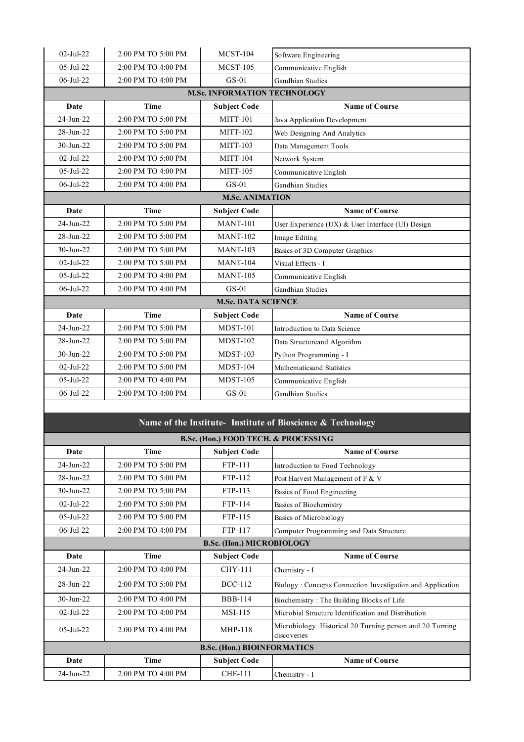| $02-Jul-22$      | 2:00 PM TO 5:00 PM | <b>MCST-104</b>                     | Software Engineering                              |
|------------------|--------------------|-------------------------------------|---------------------------------------------------|
| $05 -$ Jul-22    | 2:00 PM TO 4:00 PM | <b>MCST-105</b>                     | Communicative English                             |
| $06 -$ Jul $-22$ | 2:00 PM TO 4:00 PM | $GS-01$                             | Gandhian Studies                                  |
|                  |                    | <b>M.Sc. INFORMATION TECHNOLOGY</b> |                                                   |
| Date             | <b>Time</b>        | <b>Subject Code</b>                 | <b>Name of Course</b>                             |
| $24$ -Jun-22     | 2:00 PM TO 5:00 PM | <b>MITT-101</b>                     | Java Application Development                      |
| $28$ -Jun- $22$  | 2:00 PM TO 5:00 PM | MITT-102                            | Web Designing And Analytics                       |
| 30-Jun-22        | 2:00 PM TO 5:00 PM | MITT-103                            | Data Management Tools                             |
| $02-Jul-22$      | 2:00 PM TO 5:00 PM | <b>MITT-104</b>                     | Network System                                    |
| $05$ -Jul-22     | 2:00 PM TO 4:00 PM | <b>MITT-105</b>                     | Communicative English                             |
| $06 -$ Jul-22    | 2:00 PM TO 4:00 PM | $GS-01$                             | Gandhian Studies                                  |
|                  |                    | <b>M.Sc. ANIMATION</b>              |                                                   |
| <b>Date</b>      | <b>Time</b>        | <b>Subject Code</b>                 | <b>Name of Course</b>                             |
| 24-Jun-22        | 2:00 PM TO 5:00 PM | <b>MANT-101</b>                     | User Experience (UX) & User Interface (UI) Design |
| 28-Jun-22        | 2:00 PM TO 5:00 PM | <b>MANT-102</b>                     | Image Editing                                     |
| 30-Jun-22        | 2:00 PM TO 5:00 PM | <b>MANT-103</b>                     | Basics of 3D Computer Graphics                    |
| $02-Jul-22$      | 2:00 PM TO 5:00 PM | <b>MANT-104</b>                     | Visual Effects - I                                |
| 05-Jul-22        | 2:00 PM TO 4:00 PM | <b>MANT-105</b>                     | Communicative English                             |
| 06-Jul-22        | 2:00 PM TO 4:00 PM | $GS-01$                             | Gandhian Studies                                  |
|                  |                    | <b>M.Sc. DATA SCIENCE</b>           |                                                   |
| Date             | <b>Time</b>        | <b>Subject Code</b>                 | <b>Name of Course</b>                             |
| $24$ -Jun- $22$  | 2:00 PM TO 5:00 PM | <b>MDST-101</b>                     | Introduction to Data Science                      |
| 28-Jun-22        | 2:00 PM TO 5:00 PM | <b>MDST-102</b>                     | Data Structureand Algorithm                       |
| $30-Jun-22$      | 2:00 PM TO 5:00 PM | <b>MDST-103</b>                     | Python Programming - I                            |
| $02-Jul-22$      | 2:00 PM TO 5:00 PM | <b>MDST-104</b>                     | Mathematicsand Statistics                         |
| 05-Jul-22        | 2:00 PM TO 4:00 PM | <b>MDST-105</b>                     | Communicative English                             |
| 06-Jul-22        | 2:00 PM TO 4:00 PM | $GS-01$                             | Gandhian Studies                                  |
|                  |                    |                                     |                                                   |
|                  |                    |                                     |                                                   |

## **Name of the Institute- Institute of Bioscience & Technology**

| B.Sc. (Hon.) FOOD TECH. & PROCESSING |                    |                     |                                                                         |
|--------------------------------------|--------------------|---------------------|-------------------------------------------------------------------------|
| Date                                 | <b>Time</b>        | <b>Subject Code</b> | <b>Name of Course</b>                                                   |
| $24$ -Jun-22                         | 2:00 PM TO 5:00 PM | FTP-111             | Introduction to Food Technology                                         |
| $28$ -Jun- $22$                      | 2:00 PM TO 5:00 PM | FTP-112             | Post Harvest Management of F & V                                        |
| $30 - Jun-22$                        | 2:00 PM TO 5:00 PM | FTP-113             | Basics of Food Engineeting                                              |
| $02-Jul-22$                          | 2:00 PM TO 5:00 PM | FTP-114             | Basics of Biochemistry                                                  |
| $05 -$ Jul $-22$                     | 2:00 PM TO 5:00 PM | FTP-115             | Basics of Microbiology                                                  |
| $06$ -Jul-22                         | 2:00 PM TO 4:00 PM | FTP-117             | Computer Programming and Data Structure                                 |
| <b>B.Sc. (Hon.) MICROBIOLOGY</b>     |                    |                     |                                                                         |
| Date                                 | Time               | <b>Subject Code</b> | <b>Name of Course</b>                                                   |
| $24$ -Jun-22                         | 2:00 PM TO 4:00 PM | <b>CHY-111</b>      | Chemistry - I                                                           |
| $28 - \frac{1}{22}$                  | 2:00 PM TO 5:00 PM | <b>BCC-112</b>      | Biology: Concepts Connection Investigation and Application              |
| $30 - \frac{1}{22}$                  | 2:00 PM TO 4:00 PM | <b>BBB-114</b>      | Biochemistry: The Building Blocks of Life                               |
| $02$ -Jul-22                         | 2:00 PM TO 4:00 PM | $MSI-115$           | Microbial Structure Identification and Distribution                     |
| $05 -$ Jul-22                        | 2:00 PM TO 4:00 PM | <b>MHP-118</b>      | Microbiology Historical 20 Turning person and 20 Turning<br>discoveries |
| <b>B.Sc. (Hon.) BIOINFORMATICS</b>   |                    |                     |                                                                         |
| Date                                 | <b>Time</b>        | <b>Subject Code</b> | <b>Name of Course</b>                                                   |
| $24$ -Jun- $22$                      | 2:00 PM TO 4:00 PM | <b>CHE-111</b>      | Chemistry - I                                                           |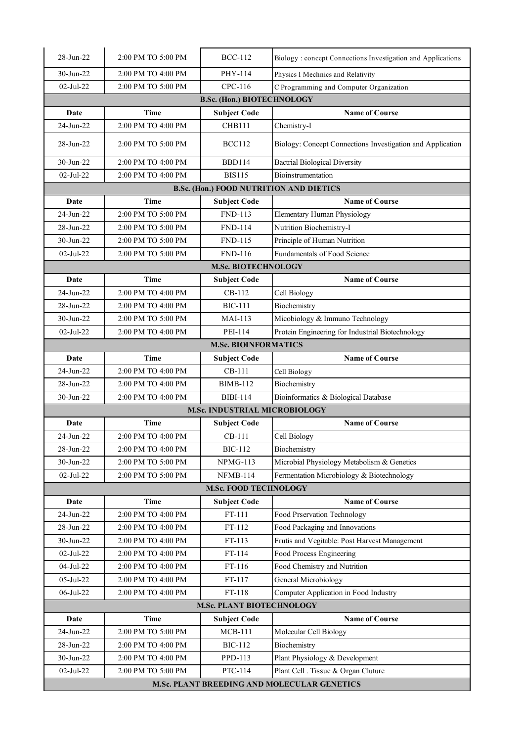| 28-Jun-22    | 2:00 PM TO 5:00 PM | <b>BCC-112</b>                    | Biology: concept Connections Investigation and Applications |
|--------------|--------------------|-----------------------------------|-------------------------------------------------------------|
| $30-Jun-22$  | 2:00 PM TO 4:00 PM | PHY-114                           | Physics I Mechnics and Relativity                           |
| $02-Jul-22$  | 2:00 PM TO 5:00 PM | CPC-116                           | C Programming and Computer Organization                     |
|              |                    | <b>B.Sc. (Hon.) BIOTECHNOLOGY</b> |                                                             |
| Date         | Time               | <b>Subject Code</b>               | <b>Name of Course</b>                                       |
| 24-Jun-22    | 2:00 PM TO 4:00 PM | <b>CHB111</b>                     | Chemistry-I                                                 |
| 28-Jun-22    | 2:00 PM TO 5:00 PM | <b>BCC112</b>                     | Biology: Concept Connections Investigation and Application  |
| 30-Jun-22    | 2:00 PM TO 4:00 PM | <b>BBD114</b>                     | <b>Bactrial Biological Diversity</b>                        |
| 02-Jul-22    | 2:00 PM TO 4:00 PM | <b>BIS115</b>                     | <b>Bioinstrumentation</b>                                   |
|              |                    |                                   | <b>B.Sc. (Hon.) FOOD NUTRITION AND DIETICS</b>              |
| Date         | <b>Time</b>        | <b>Subject Code</b>               | <b>Name of Course</b>                                       |
| 24-Jun-22    | 2:00 PM TO 5:00 PM | <b>FND-113</b>                    | Elementary Human Physiology                                 |
| 28-Jun-22    | 2:00 PM TO 5:00 PM | <b>FND-114</b>                    | Nutrition Biochemistry-I                                    |
| 30-Jun-22    | 2:00 PM TO 5:00 PM | <b>FND-115</b>                    | Principle of Human Nutrition                                |
| 02-Jul-22    | 2:00 PM TO 5:00 PM | <b>FND-116</b>                    | Fundamentals of Food Science                                |
|              |                    | <b>M.Sc. BIOTECHNOLOGY</b>        |                                                             |
| Date         | <b>Time</b>        | <b>Subject Code</b>               | <b>Name of Course</b>                                       |
| 24-Jun-22    | 2:00 PM TO 4:00 PM | $CB-112$                          | Cell Biology                                                |
| 28-Jun-22    | 2:00 PM TO 4:00 PM | <b>BIC-111</b>                    | Biochemistry                                                |
| 30-Jun-22    | 2:00 PM TO 5:00 PM | <b>MAI-113</b>                    | Micobiology & Immuno Technology                             |
| $02-Jul-22$  | 2:00 PM TO 4:00 PM | PEI-114                           | Protein Engineering for Industrial Biotechnology            |
|              |                    | <b>M.Sc. BIOINFORMATICS</b>       |                                                             |
| Date         | <b>Time</b>        | <b>Subject Code</b>               | <b>Name of Course</b>                                       |
| 24-Jun-22    | 2:00 PM TO 4:00 PM | $CB-111$                          | Cell Biology                                                |
| 28-Jun-22    | 2:00 PM TO 4:00 PM | <b>BIMB-112</b>                   | Biochemistry                                                |
| 30-Jun-22    | 2:00 PM TO 4:00 PM | <b>BIBI-114</b>                   | Bioinformatics & Biological Database                        |
|              |                    | M.Sc. INDUSTRIAL MICROBIOLOGY     |                                                             |
| Date         | Time               | <b>Subject Code</b>               | <b>Name of Course</b>                                       |
| 24-Jun-22    | 2:00 PM TO 4:00 PM | CB-111                            | Cell Biology                                                |
| 28-Jun-22    | 2:00 PM TO 4:00 PM | <b>BIC-112</b>                    | Biochemistry                                                |
| 30-Jun-22    | 2:00 PM TO 5:00 PM | <b>NPMG-113</b>                   | Microbial Physiology Metabolism & Genetics                  |
| 02-Jul-22    | 2:00 PM TO 5:00 PM | <b>NFMB-114</b>                   | Fermentation Microbiology & Biotechnology                   |
|              |                    | <b>M.Sc. FOOD TECHNOLOGY</b>      |                                                             |
| Date         | Time               | <b>Subject Code</b>               | <b>Name of Course</b>                                       |
| 24-Jun-22    | 2:00 PM TO 4:00 PM | FT-111                            | Food Prservation Technology                                 |
| 28-Jun-22    | 2:00 PM TO 4:00 PM | FT-112                            | Food Packaging and Innovations                              |
| 30-Jun-22    | 2:00 PM TO 4:00 PM | FT-113                            | Frutis and Vegitable: Post Harvest Management               |
| 02-Jul-22    | 2:00 PM TO 4:00 PM | FT-114                            | Food Process Engineering                                    |
| 04-Jul-22    | 2:00 PM TO 4:00 PM | FT-116                            | Food Chemistry and Nutrition                                |
| 05-Jul-22    | 2:00 PM TO 4:00 PM | FT-117                            | General Microbiology                                        |
| 06-Jul-22    | 2:00 PM TO 4:00 PM | FT-118                            | Computer Application in Food Industry                       |
|              |                    | <b>M.Sc. PLANT BIOTECHNOLOGY</b>  |                                                             |
| Date         | <b>Time</b>        | <b>Subject Code</b>               | <b>Name of Course</b>                                       |
| 24-Jun-22    | 2:00 PM TO 5:00 PM | $MCB-111$                         | Molecular Cell Biology                                      |
| 28-Jun-22    | 2:00 PM TO 4:00 PM | <b>BIC-112</b>                    | Biochemistry                                                |
| 30-Jun-22    | 2:00 PM TO 4:00 PM | PPD-113                           | Plant Physiology & Development                              |
| $02$ -Jul-22 | 2:00 PM TO 5:00 PM | PTC-114                           | Plant Cell . Tissue & Organ Cluture                         |
|              |                    |                                   | M.Sc. PLANT BREEDING AND MOLECULAR GENETICS                 |
|              |                    |                                   |                                                             |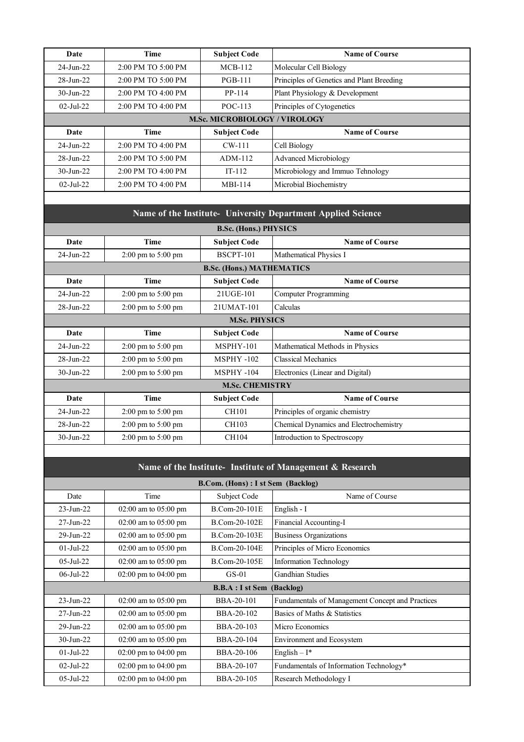| Date                | Time                                 | <b>Subject Code</b> | <b>Name of Course</b>                     |  |
|---------------------|--------------------------------------|---------------------|-------------------------------------------|--|
| $24 - \frac{1}{22}$ | 2:00 PM TO 5:00 PM                   | $MCB-112$           | Molecular Cell Biology                    |  |
| $28 - Jun - 22$     | 2:00 PM TO 5:00 PM                   | <b>PGB-111</b>      | Principles of Genetics and Plant Breeding |  |
| $30 - Jun - 22$     | 2:00 PM TO 4:00 PM                   | PP-114              | Plant Physiology & Development            |  |
| $02-Jul-22$         | 2:00 PM TO 4:00 PM                   | POC-113             | Principles of Cytogenetics                |  |
|                     | <b>M.Sc. MICROBIOLOGY / VIROLOGY</b> |                     |                                           |  |
| Date                | Time                                 | <b>Subject Code</b> | <b>Name of Course</b>                     |  |
| $24$ -Jun-22        | 2:00 PM TO 4:00 PM                   | $CW-111$            | Cell Biology                              |  |
| $28 - Jun - 22$     | 2:00 PM TO 5:00 PM                   | $ADM-112$           | <b>Advanced Microbiology</b>              |  |
| $30 - Jun - 22$     | 2:00 PM TO 4:00 PM                   | $IT-112$            | Microbiology and Immuo Tehnology          |  |
| $02-Jul-22$         | 2:00 PM TO 4:00 PM                   | MBI-114             | Microbial Biochemistry                    |  |

| Name of the Institute- University Department Applied Science |                                        |                                  |                                        |  |  |
|--------------------------------------------------------------|----------------------------------------|----------------------------------|----------------------------------------|--|--|
|                                                              | <b>B.Sc. (Hons.) PHYSICS</b>           |                                  |                                        |  |  |
| Date                                                         | <b>Time</b>                            | <b>Subject Code</b>              | <b>Name of Course</b>                  |  |  |
| $24 - \frac{1}{22}$                                          | $2:00 \text{ pm}$ to $5:00 \text{ pm}$ | <b>BSCPT-101</b>                 | Mathematical Physics I                 |  |  |
|                                                              |                                        | <b>B.Sc. (Hons.) MATHEMATICS</b> |                                        |  |  |
| Date                                                         | <b>Time</b>                            | <b>Subject Code</b>              | <b>Name of Course</b>                  |  |  |
| $24 - \frac{1}{22}$                                          | $2:00 \text{ pm}$ to $5:00 \text{ pm}$ | 21UGE-101                        | Computer Programming                   |  |  |
| $28 - Jun - 22$                                              | $2:00 \text{ pm}$ to $5:00 \text{ pm}$ | 21UMAT-101                       | Calculas                               |  |  |
|                                                              |                                        | <b>M.Sc. PHYSICS</b>             |                                        |  |  |
| Date                                                         | <b>Time</b>                            | <b>Subject Code</b>              | <b>Name of Course</b>                  |  |  |
| $24 - \frac{1}{22}$                                          | $2:00 \text{ pm}$ to $5:00 \text{ pm}$ | MSPHY-101                        | Mathematical Methods in Physics        |  |  |
| $28 - Jun - 22$                                              | $2:00 \text{ pm}$ to $5:00 \text{ pm}$ | <b>MSPHY-102</b>                 | Classical Mechanics                    |  |  |
| $30 - \frac{1}{22}$                                          | $2:00 \text{ pm}$ to $5:00 \text{ pm}$ | <b>MSPHY-104</b>                 | Electronics (Linear and Digital)       |  |  |
|                                                              |                                        | <b>M.Sc. CHEMISTRY</b>           |                                        |  |  |
| Date                                                         | <b>Time</b>                            | <b>Subject Code</b>              | <b>Name of Course</b>                  |  |  |
| $24$ -Jun-22                                                 | $2:00 \text{ pm}$ to $5:00 \text{ pm}$ | CH101                            | Principles of organic chemistry        |  |  |
| $28 - Jun - 22$                                              | $2:00 \text{ pm}$ to $5:00 \text{ pm}$ | CH103                            | Chemical Dynamics and Electrochemistry |  |  |
| $30 - \frac{1}{1}$ un - 22                                   | $2:00 \text{ pm}$ to $5:00 \text{ pm}$ | CH104                            | Introduction to Spectroscopy           |  |  |
|                                                              |                                        |                                  |                                        |  |  |

## **Name of the Institute- Institute of Management & Research**

| B.Com. (Hons) : I st Sem (Backlog) |                                          |                                   |                                                  |
|------------------------------------|------------------------------------------|-----------------------------------|--------------------------------------------------|
| Date                               | Time                                     | Subject Code                      | Name of Course                                   |
| $23 - Jun - 22$                    | $02:00$ am to $05:00$ pm                 | B.Com-20-101E                     | English - I                                      |
| $27 - Jun-22$                      | $02:00$ am to $05:00$ pm                 | B.Com-20-102E                     | Financial Accounting-I                           |
| $29$ -Jun- $22$                    | $02:00$ am to $05:00$ pm                 | B.Com-20-103E                     | <b>Business Organizations</b>                    |
| $01-Ju-22$                         | $02:00$ am to $05:00$ pm                 | B.Com-20-104E                     | Principles of Micro Economics                    |
| $05$ -Jul-22                       | $02:00$ am to $05:00$ pm                 | B.Com-20-105E                     | <b>Information Technology</b>                    |
| $06$ -Jul-22                       | $02:00 \text{ pm}$ to $04:00 \text{ pm}$ | $GS-01$                           | <b>Gandhian Studies</b>                          |
|                                    |                                          | <b>B.B.A</b> : I st Sem (Backlog) |                                                  |
| $23 - Jun - 22$                    | $02:00$ am to $05:00$ pm                 | BBA-20-101                        | Fundamentals of Management Concept and Practices |
| $27 - Jun-22$                      | $02:00$ am to $05:00$ pm                 | BBA-20-102                        | Basics of Maths & Statistics                     |
| $29$ -Jun- $22$                    | $02:00$ am to $05:00$ pm                 | BBA-20-103                        | Micro Economics                                  |
| $30$ -Jun-22                       | $02:00$ am to $05:00$ pm                 | BBA-20-104                        | <b>Environment and Ecosystem</b>                 |
| $01-Ju-22$                         | $02:00 \text{ pm}$ to $04:00 \text{ pm}$ | BBA-20-106                        | English $-I^*$                                   |
| $02-Jul-22$                        | $02:00 \text{ pm}$ to $04:00 \text{ pm}$ | BBA-20-107                        | Fundamentals of Information Technology*          |
| $05$ -Jul-22                       | $02:00 \text{ pm}$ to $04:00 \text{ pm}$ | BBA-20-105                        | Research Methodology I                           |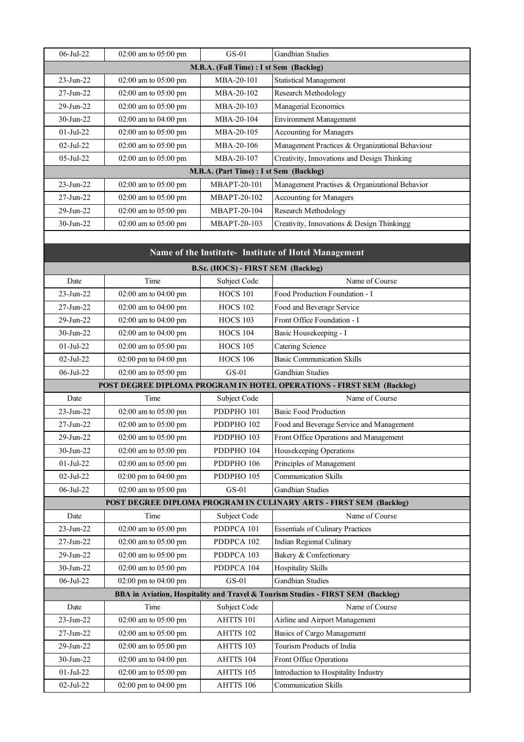| $06 -$ Jul $-22$ | $02:00$ am to $05:00$ pm                | $GS-01$                                 | <b>Gandhian Studies</b>                         |  |  |
|------------------|-----------------------------------------|-----------------------------------------|-------------------------------------------------|--|--|
|                  | M.B.A. (Full Time) : I st Sem (Backlog) |                                         |                                                 |  |  |
| $23 - Jun - 22$  | $02:00$ am to $05:00$ pm                | $MBA-20-101$                            | <b>Statistical Management</b>                   |  |  |
| $27 - Jun-22$    | $02:00$ am to $05:00$ pm                | $MBA-20-102$                            | Research Methodology                            |  |  |
| $29$ -Jun- $22$  | $02:00$ am to $05:00$ pm                | MBA-20-103                              | Managerial Economics                            |  |  |
| $30 - Jun-22$    | $02:00$ am to $04:00$ pm                | $MBA-20-104$                            | <b>Environment Management</b>                   |  |  |
| $01-Jul-22$      | $02:00$ am to $05:00$ pm                | MBA-20-105                              | Accounting for Managers                         |  |  |
| $02-Jul-22$      | $02:00$ am to $05:00$ pm                | $MBA-20-106$                            | Management Practices & Organizational Behaviour |  |  |
| $05$ -Jul-22     | $02:00$ am to $05:00$ pm                | MBA-20-107                              | Creativity, Innovations and Design Thinking     |  |  |
|                  |                                         | M.B.A. (Part Time) : I st Sem (Backlog) |                                                 |  |  |
| $23 - Jun - 22$  | $02:00$ am to $05:00$ pm                | MBAPT-20-101                            | Management Practises & Organizational Behavior  |  |  |
| $27 - Jun-22$    | 02:00 am to 05:00 pm                    | MBAPT-20-102                            | Accounting for Managers                         |  |  |
| $29$ -Jun- $22$  | $02:00$ am to $05:00$ pm                | MBAPT-20-104                            | Research Methodology                            |  |  |
| $30 - Jun-22$    | $02:00$ am to $05:00$ pm                | MBAPT-20-103                            | Creativity, Innovations & Design Thinkingg      |  |  |
|                  |                                         |                                         |                                                 |  |  |

|  | Name of the Institute- Institute of Hotel Management |
|--|------------------------------------------------------|
|--|------------------------------------------------------|

| <b>B.Sc. (HOCS) - FIRST SEM (Backlog)</b> |                      |                       |                                                                                 |
|-------------------------------------------|----------------------|-----------------------|---------------------------------------------------------------------------------|
| Date                                      | Time                 | Subject Code          | Name of Course                                                                  |
| $23$ -Jun- $22$                           | 02:00 am to 04:00 pm | <b>HOCS 101</b>       | Food Production Foundation - I                                                  |
| 27-Jun-22                                 | 02:00 am to 04:00 pm | <b>HOCS 102</b>       | Food and Beverage Service                                                       |
| 29-Jun-22                                 | 02:00 am to 04:00 pm | <b>HOCS 103</b>       | Front Office Foundation - I                                                     |
| $30$ -Jun-22                              | 02:00 am to 04:00 pm | <b>HOCS 104</b>       | Basic Housekeeping - I                                                          |
| $01-Jul-22$                               | 02:00 am to 05:00 pm | <b>HOCS 105</b>       | Catering Science                                                                |
| $02-Jul-22$                               | 02:00 pm to 04:00 pm | <b>HOCS 106</b>       | <b>Basic Communication Skills</b>                                               |
| 06-Jul-22                                 | 02:00 am to 05:00 pm | $GS-01$               | <b>Gandhian Studies</b>                                                         |
|                                           |                      |                       | POST DEGREE DIPLOMA PROGRAM IN HOTEL OPERATIONS - FIRST SEM (Backlog)           |
| Date                                      | Time                 | Subject Code          | Name of Course                                                                  |
| $23 - Jun - 22$                           | 02:00 am to 05:00 pm | PDDPHO <sub>101</sub> | <b>Basic Food Production</b>                                                    |
| $27-Jun-22$                               | 02:00 am to 05:00 pm | PDDPHO <sub>102</sub> | Food and Beverage Service and Management                                        |
| 29-Jun-22                                 | 02:00 am to 05:00 pm | PDDPHO <sub>103</sub> | Front Office Operations and Management                                          |
| $30$ -Jun-22                              | 02:00 am to 05:00 pm | PDDPHO <sub>104</sub> | Housekeeping Operations                                                         |
| $01-Jul-22$                               | 02:00 am to 05:00 pm | PDDPHO 106            | Principles of Management                                                        |
| $02-Jul-22$                               | 02:00 pm to 04:00 pm | PDDPHO 105            | <b>Communication Skills</b>                                                     |
| 06-Jul-22                                 | 02:00 am to 05:00 pm | $GS-01$               | <b>Gandhian Studies</b>                                                         |
|                                           |                      |                       | POST DEGREE DIPLOMA PROGRAM IN CULINARY ARTS - FIRST SEM (Backlog)              |
| Date                                      | Time                 | Subject Code          | Name of Course                                                                  |
| $23$ -Jun- $22$                           | 02:00 am to 05:00 pm | PDDPCA 101            | <b>Essentials of Culinary Practices</b>                                         |
| 27-Jun-22                                 | 02:00 am to 05:00 pm | PDDPCA 102            | Indian Regional Culinary                                                        |
| 29-Jun-22                                 | 02:00 am to 05:00 pm | PDDPCA 103            | Bakery & Confectionary                                                          |
| $30$ -Jun-22                              | 02:00 am to 05:00 pm | PDDPCA 104            | <b>Hospitality Skills</b>                                                       |
| $06$ -Jul-22                              | 02:00 pm to 04:00 pm | $GS-01$               | Gandhian Studies                                                                |
|                                           |                      |                       | BBA in Aviation, Hospitality and Travel & Tourism Studies - FIRST SEM (Backlog) |
| Date                                      | Time                 | Subject Code          | Name of Course                                                                  |
| $23-Jun-22$                               | 02:00 am to 05:00 pm | AHTTS 101             | Airline and Airport Management                                                  |
| 27-Jun-22                                 | 02:00 am to 05:00 pm | AHTTS 102             | <b>Basics of Cargo Management</b>                                               |
| 29-Jun-22                                 | 02:00 am to 05:00 pm | AHTTS 103             | Tourism Products of India                                                       |
| 30-Jun-22                                 | 02:00 am to 04:00 pm | AHTTS 104             | Front Office Operations                                                         |
| $01-Jul-22$                               | 02:00 am to 05:00 pm | AHTTS 105             | Introduction to Hospitality Industry                                            |
| $02$ -Jul-22                              | 02:00 pm to 04:00 pm | AHTTS 106             | <b>Communication Skills</b>                                                     |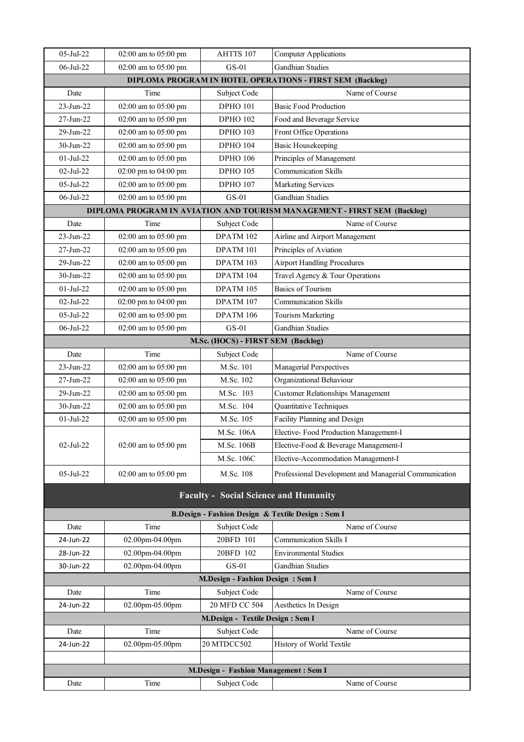| $05-Jul-22$                                                      | 02:00 am to 05:00 pm | AHTTS 107                                    | <b>Computer Applications</b>                                             |  |
|------------------------------------------------------------------|----------------------|----------------------------------------------|--------------------------------------------------------------------------|--|
| 06-Jul-22                                                        | 02:00 am to 05:00 pm | $GS-01$                                      | <b>Gandhian Studies</b>                                                  |  |
| <b>DIPLOMA PROGRAM IN HOTEL OPERATIONS - FIRST SEM (Backlog)</b> |                      |                                              |                                                                          |  |
| Date                                                             | Time                 | Subject Code                                 | Name of Course                                                           |  |
| $23-Jun-22$                                                      | 02:00 am to 05:00 pm | <b>DPHO 101</b>                              | <b>Basic Food Production</b>                                             |  |
| 27-Jun-22                                                        | 02:00 am to 05:00 pm | <b>DPHO 102</b>                              | Food and Beverage Service                                                |  |
| $29$ -Jun-22                                                     | 02:00 am to 05:00 pm | <b>DPHO 103</b>                              | Front Office Operations                                                  |  |
| 30-Jun-22                                                        | 02:00 am to 05:00 pm | <b>DPHO 104</b>                              | <b>Basic Housekeeping</b>                                                |  |
| $01-Jul-22$                                                      | 02:00 am to 05:00 pm | <b>DPHO 106</b>                              | Principles of Management                                                 |  |
| 02-Jul-22                                                        | 02:00 pm to 04:00 pm | <b>DPHO 105</b>                              | <b>Communication Skills</b>                                              |  |
| 05-Jul-22                                                        | 02:00 am to 05:00 pm | <b>DPHO 107</b>                              | <b>Marketing Services</b>                                                |  |
| 06-Jul-22                                                        | 02:00 am to 05:00 pm | $GS-01$                                      | <b>Gandhian Studies</b>                                                  |  |
|                                                                  |                      |                                              | DIPLOMA PROGRAM IN AVIATION AND TOURISM MANAGEMENT - FIRST SEM (Backlog) |  |
| Date                                                             | Time                 | Subject Code                                 | Name of Course                                                           |  |
| 23-Jun-22                                                        | 02:00 am to 05:00 pm | DPATM 102                                    | Airline and Airport Management                                           |  |
| 27-Jun-22                                                        | 02:00 am to 05:00 pm | DPATM 101                                    | Principles of Aviation                                                   |  |
| 29-Jun-22                                                        | 02:00 am to 05:00 pm | DPATM 103                                    | <b>Airport Handling Procedures</b>                                       |  |
| $30-Jun-22$                                                      | 02:00 am to 05:00 pm | DPATM 104                                    | Travel Agency & Tour Operations                                          |  |
| $01-Jul-22$                                                      | 02:00 am to 05:00 pm | DPATM 105                                    | <b>Basics of Tourism</b>                                                 |  |
| $02-Jul-22$                                                      | 02:00 pm to 04:00 pm | DPATM 107                                    | <b>Communication Skills</b>                                              |  |
| 05-Jul-22                                                        | 02:00 am to 05:00 pm | DPATM 106                                    | <b>Tourism Marketing</b>                                                 |  |
| 06-Jul-22                                                        | 02:00 am to 05:00 pm | $GS-01$                                      | <b>Gandhian Studies</b>                                                  |  |
|                                                                  |                      | M.Sc. (HOCS) - FIRST SEM (Backlog)           |                                                                          |  |
| Date                                                             | Time                 | Subject Code                                 | Name of Course                                                           |  |
| $23-Jun-22$                                                      | 02:00 am to 05:00 pm | M.Sc. 101                                    | Managerial Perspectives                                                  |  |
| $27-Jun-22$                                                      | 02:00 am to 05:00 pm | M.Sc. 102                                    | Organizational Behaviour                                                 |  |
| 29-Jun-22                                                        | 02:00 am to 05:00 pm | M.Sc. 103                                    | <b>Customer Relationships Management</b>                                 |  |
| 30-Jun-22                                                        | 02:00 am to 05:00 pm | M.Sc. 104                                    | Quantitative Techniques                                                  |  |
| $01-Jul-22$                                                      | 02:00 am to 05:00 pm | M.Sc. 105                                    | Facility Planning and Design                                             |  |
|                                                                  |                      | M.Sc. 106A                                   | Elective-Food Production Management-I                                    |  |
| 02-Jul-22                                                        | 02:00 am to 05:00 pm | M.Sc. 106B                                   | Elective-Food & Beverage Management-I                                    |  |
|                                                                  |                      | M.Sc. 106C                                   | Elective-Accommodation Management-I                                      |  |
| $05$ -Jul-22                                                     | 02:00 am to 05:00 pm | M.Sc. 108                                    | Professional Development and Managerial Communication                    |  |
|                                                                  |                      |                                              |                                                                          |  |
|                                                                  |                      | <b>Faculty - Social Science and Humanity</b> |                                                                          |  |
|                                                                  |                      |                                              | B.Design - Fashion Design & Textile Design : Sem I                       |  |
| Date                                                             | Time                 | Subject Code                                 | Name of Course                                                           |  |
| 24-Jun-22                                                        | 02.00pm-04.00pm      | 20BFD 101                                    | <b>Communication Skills I</b>                                            |  |
| 28-Jun-22                                                        | 02.00pm-04.00pm      | 20BFD 102                                    | <b>Environmental Studies</b>                                             |  |
| 30-Jun-22                                                        | 02.00pm-04.00pm      | $GS-01$                                      | Gandhian Studies                                                         |  |
|                                                                  |                      | <b>M.Design - Fashion Design: Sem I</b>      |                                                                          |  |
| Date                                                             | Time                 | Subject Code                                 | Name of Course                                                           |  |
| 24-Jun-22                                                        | 02.00pm-05.00pm      | 20 MFD CC 504                                | Aesthetics In Design                                                     |  |
|                                                                  |                      | M.Design - Textile Design : Sem I            |                                                                          |  |
| Date                                                             | Time                 | Subject Code                                 | Name of Course                                                           |  |
| 24-Jun-22                                                        | 02.00pm-05.00pm      | 20 MTDCC502                                  | History of World Textile                                                 |  |
|                                                                  |                      |                                              |                                                                          |  |
| M.Design - Fashion Management: Sem I                             |                      |                                              |                                                                          |  |
| Date                                                             | Time                 | Subject Code                                 | Name of Course                                                           |  |
|                                                                  |                      |                                              |                                                                          |  |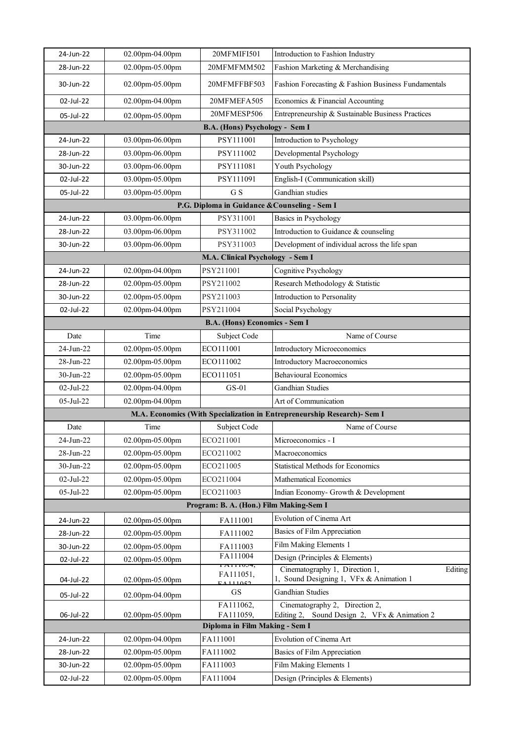| 24-Jun-22    | 02.00pm-04.00pm        | 20MFMIFI501                                    | Introduction to Fashion Industry                                                     |  |
|--------------|------------------------|------------------------------------------------|--------------------------------------------------------------------------------------|--|
| 28-Jun-22    | 02.00pm-05.00pm        | 20MFMFMM502                                    | Fashion Marketing & Merchandising                                                    |  |
| 30-Jun-22    | 02.00pm-05.00pm        | 20MFMFFBF503                                   | Fashion Forecasting & Fashion Business Fundamentals                                  |  |
| 02-Jul-22    | 02.00pm-04.00pm        | 20MFMEFA505                                    | Economics & Financial Accounting                                                     |  |
| 05-Jul-22    | 02.00pm-05.00pm        | 20MFMESP506                                    | Entrepreneurship & Sustainable Business Practices                                    |  |
|              |                        | B.A. (Hons) Psychology - Sem I                 |                                                                                      |  |
| 24-Jun-22    | 03.00pm-06.00pm        | PSY111001                                      | Introduction to Psychology                                                           |  |
| 28-Jun-22    | 03.00pm-06.00pm        | PSY111002                                      | Developmental Psychology                                                             |  |
| 30-Jun-22    | 03.00pm-06.00pm        | PSY111081                                      | Youth Psychology                                                                     |  |
| 02-Jul-22    | 03.00pm-05.00pm        | PSY111091                                      | English-I (Communication skill)                                                      |  |
| 05-Jul-22    | 03.00pm-05.00pm        | G S                                            | Gandhian studies                                                                     |  |
|              |                        | P.G. Diploma in Guidance & Counseling - Sem I  |                                                                                      |  |
| 24-Jun-22    | 03.00pm-06.00pm        | PSY311001                                      | Basics in Psychology                                                                 |  |
| 28-Jun-22    | 03.00pm-06.00pm        | PSY311002                                      | Introduction to Guidance & counseling                                                |  |
| 30-Jun-22    | 03.00pm-06.00pm        | PSY311003                                      | Development of individual across the life span                                       |  |
|              |                        | M.A. Clinical Psychology - Sem I               |                                                                                      |  |
| 24-Jun-22    | 02.00pm-04.00pm        | PSY211001                                      | Cognitive Psychology                                                                 |  |
| 28-Jun-22    | 02.00pm-05.00pm        | PSY211002                                      | Research Methodology & Statistic                                                     |  |
| 30-Jun-22    | 02.00pm-05.00pm        | PSY211003                                      | Introduction to Personality                                                          |  |
| 02-Jul-22    | 02.00pm-04.00pm        | PSY211004                                      | Social Psychology                                                                    |  |
|              |                        | B.A. (Hons) Economics - Sem I                  |                                                                                      |  |
| Date         | Time                   | Subject Code                                   | Name of Course                                                                       |  |
| 24-Jun-22    | 02.00pm-05.00pm        | ECO111001                                      | <b>Introductory Microeconomics</b>                                                   |  |
| 28-Jun-22    | 02.00pm-05.00pm        | ECO111002                                      | Introductory Macroeconomics                                                          |  |
| 30-Jun-22    | 02.00pm-05.00pm        | ECO111051                                      | <b>Behavioural Economics</b>                                                         |  |
| $02-Jul-22$  | 02.00pm-04.00pm        | $GS-01$                                        | <b>Gandhian Studies</b>                                                              |  |
| $05$ -Jul-22 | 02.00pm-04.00pm        |                                                | Art of Communication                                                                 |  |
|              |                        |                                                | M.A. Economics (With Specialization in Entrepreneurship Research)- Sem I             |  |
| Date         | Time                   | Subject Code                                   | Name of Course                                                                       |  |
| 24-Jun-22    | 02.00pm-05.00pm        | ECO211001                                      | Microeconomics - I                                                                   |  |
| 28-Jun-22    | 02.00pm-05.00pm        | ECO211002                                      | Macroeconomics                                                                       |  |
| 30-Jun-22    | 02.00pm-05.00pm        | ECO211005                                      | <b>Statistical Methods for Economics</b>                                             |  |
| 02-Jul-22    | 02.00pm-05.00pm        | ECO211004                                      | Mathematical Economics                                                               |  |
| 05-Jul-22    | 02.00pm-05.00pm        | ECO211003                                      | Indian Economy- Growth & Development                                                 |  |
|              |                        | Program: B. A. (Hon.) Film Making-Sem I        |                                                                                      |  |
| 24-Jun-22    | 02.00pm-05.00pm        | FA111001                                       | Evolution of Cinema Art                                                              |  |
| 28-Jun-22    | $02.00$ pm- $05.00$ pm | FA111002                                       | Basics of Film Appreciation                                                          |  |
| 30-Jun-22    | 02.00pm-05.00pm        | FA111003                                       | Film Making Elements 1                                                               |  |
| 02-Jul-22    | 02.00pm-05.00pm        | FA111004<br>г <del>а</del> птоз <del>ч</del> , | Design (Principles & Elements)                                                       |  |
| 04-Jul-22    | 02.00pm-05.00pm        | FA111051,<br>$E$ A 111052                      | Cinematography 1, Direction 1,<br>Editing<br>1, Sound Designing 1, VFx & Animation 1 |  |
| 05-Jul-22    | 02.00pm-04.00pm        | GS                                             | <b>Gandhian Studies</b>                                                              |  |
|              |                        | FA111062,                                      | Cinematography 2, Direction 2,<br>Sound Design 2, VFx & Animation 2                  |  |
| 06-Jul-22    | 02.00pm-05.00pm        | FA111059,<br>Diploma in Film Making - Sem I    | Editing 2,                                                                           |  |
| 24-Jun-22    | 02.00pm-04.00pm        | FA111001                                       | Evolution of Cinema Art                                                              |  |
| 28-Jun-22    | 02.00pm-05.00pm        | FA111002                                       | Basics of Film Appreciation                                                          |  |
| 30-Jun-22    | 02.00pm-05.00pm        | FA111003                                       | Film Making Elements 1                                                               |  |
| 02-Jul-22    | 02.00pm-05.00pm        | FA111004                                       | Design (Principles & Elements)                                                       |  |
|              |                        |                                                |                                                                                      |  |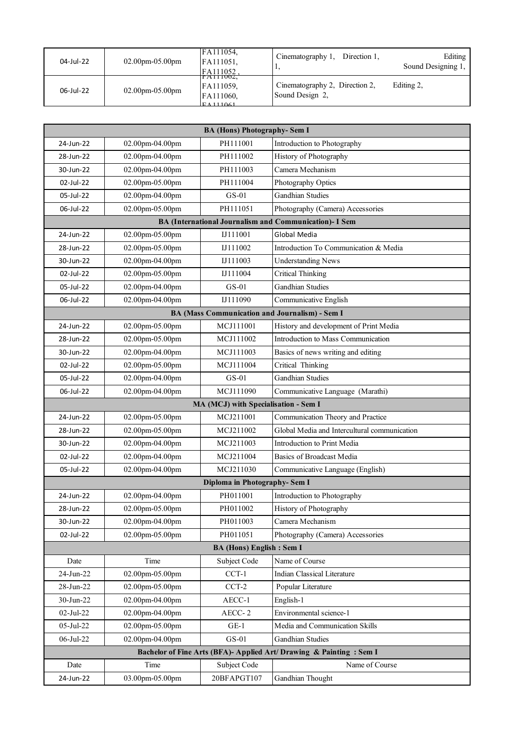| 04-Jul-22 | $02.00$ pm-05.00pm | FA111054,<br>FA111051,<br>FA111052                       | Cinematography 1,<br>Direction 1,<br>л.           | Editing<br>Sound Designing 1, |
|-----------|--------------------|----------------------------------------------------------|---------------------------------------------------|-------------------------------|
| 06-Jul-22 | $02.00$ pm-05.00pm | TAIII002,<br>FA111059,<br>FA111060,<br>$\Gamma$ A 111061 | Cinematography 2, Direction 2,<br>Sound Design 2, | Editing 2,                    |

| <b>BA (Hons) Photography-Sem I</b>                                  |                 |                                      |                                                        |  |
|---------------------------------------------------------------------|-----------------|--------------------------------------|--------------------------------------------------------|--|
| 24-Jun-22                                                           | 02.00pm-04.00pm | PH111001                             | Introduction to Photography                            |  |
| 28-Jun-22                                                           | 02.00pm-04.00pm | PH111002                             | History of Photography                                 |  |
| 30-Jun-22                                                           | 02.00pm-04.00pm | PH111003                             | Camera Mechanism                                       |  |
| 02-Jul-22                                                           | 02.00pm-05.00pm | PH111004                             | Photography Optics                                     |  |
| 05-Jul-22                                                           | 02.00pm-04.00pm | $GS-01$                              | <b>Gandhian Studies</b>                                |  |
| 06-Jul-22                                                           | 02.00pm-05.00pm | PH111051                             | Photography (Camera) Accessories                       |  |
|                                                                     |                 |                                      | BA (International Journalism and Communication)- I Sem |  |
| 24-Jun-22                                                           | 02.00pm-05.00pm | IJ111001                             | Global Media                                           |  |
| 28-Jun-22                                                           | 02.00pm-05.00pm | IJ111002                             | Introduction To Communication & Media                  |  |
| 30-Jun-22                                                           | 02.00pm-04.00pm | IJ111003                             | <b>Understanding News</b>                              |  |
| 02-Jul-22                                                           | 02.00pm-05.00pm | IJ111004                             | <b>Critical Thinking</b>                               |  |
| 05-Jul-22                                                           | 02.00pm-04.00pm | $GS-01$                              | <b>Gandhian Studies</b>                                |  |
| 06-Jul-22                                                           | 02.00pm-04.00pm | IJ111090                             | Communicative English                                  |  |
|                                                                     |                 |                                      | <b>BA (Mass Communication and Journalism) - Sem I</b>  |  |
| 24-Jun-22                                                           | 02.00pm-05.00pm | MCJ111001                            | History and development of Print Media                 |  |
| 28-Jun-22                                                           | 02.00pm-05.00pm | MCJ111002                            | Introduction to Mass Communication                     |  |
| 30-Jun-22                                                           | 02.00pm-04.00pm | MCJ111003                            | Basics of news writing and editing                     |  |
| 02-Jul-22                                                           | 02.00pm-05.00pm | MCJ111004                            | Critical Thinking                                      |  |
| 05-Jul-22                                                           | 02.00pm-04.00pm | $GS-01$                              | <b>Gandhian Studies</b>                                |  |
| 06-Jul-22                                                           | 02.00pm-04.00pm | MCJ111090                            | Communicative Language (Marathi)                       |  |
|                                                                     |                 | MA (MCJ) with Specialisation - Sem I |                                                        |  |
| 24-Jun-22                                                           | 02.00pm-05.00pm | MCJ211001                            | Communication Theory and Practice                      |  |
| 28-Jun-22                                                           | 02.00pm-05.00pm | MCJ211002                            | Global Media and Intercultural communication           |  |
| 30-Jun-22                                                           | 02.00pm-04.00pm | MCJ211003                            | Introduction to Print Media                            |  |
| 02-Jul-22                                                           | 02.00pm-04.00pm | MCJ211004                            | Basics of Broadcast Media                              |  |
| 05-Jul-22                                                           | 02.00pm-04.00pm | MCJ211030                            | Communicative Language (English)                       |  |
| Diploma in Photography-Sem I                                        |                 |                                      |                                                        |  |
| 24-Jun-22                                                           | 02.00pm-04.00pm | PH011001                             | Introduction to Photography                            |  |
| 28-Jun-22                                                           | 02.00pm-05.00pm | PH011002                             | History of Photography                                 |  |
| 30-Jun-22                                                           | 02.00pm-04.00pm | PH011003                             | Camera Mechanism                                       |  |
| 02-Jul-22                                                           | 02.00pm-05.00pm | PH011051                             | Photography (Camera) Accessories                       |  |
| <b>BA (Hons) English: Sem I</b>                                     |                 |                                      |                                                        |  |
| Date                                                                | Time            | Subject Code                         | Name of Course                                         |  |
| 24-Jun-22                                                           | 02.00pm-05.00pm | $CCT-1$                              | <b>Indian Classical Literature</b>                     |  |
| 28-Jun-22                                                           | 02.00pm-05.00pm | $CCT-2$                              | Popular Literature                                     |  |
| $30$ -Jun-22                                                        | 02.00pm-04.00pm | AECC-1                               | English-1                                              |  |
| 02-Jul-22                                                           | 02.00pm-04.00pm | AECC-2                               | Environmental science-1                                |  |
| 05-Jul-22                                                           | 02.00pm-05.00pm | $GE-1$                               | Media and Communication Skills                         |  |
| 06-Jul-22                                                           | 02.00pm-04.00pm | $GS-01$                              | <b>Gandhian Studies</b>                                |  |
| Bachelor of Fine Arts (BFA)- Applied Art/ Drawing & Painting: Sem I |                 |                                      |                                                        |  |
| Date                                                                | Time            | Subject Code                         | Name of Course                                         |  |
| 24-Jun-22                                                           | 03.00pm-05.00pm | 20BFAPGT107                          | Gandhian Thought                                       |  |